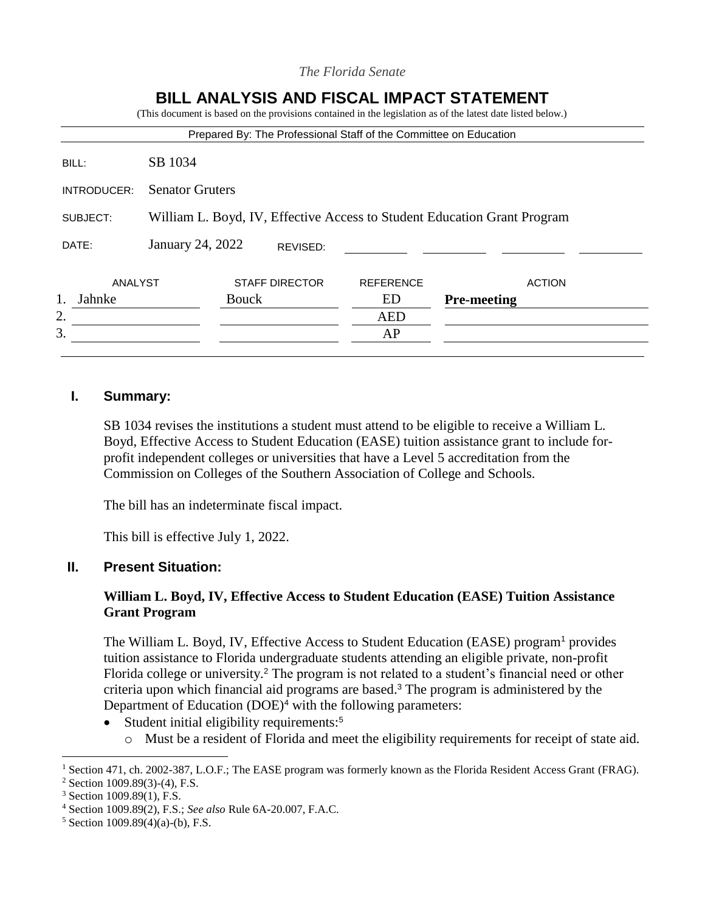| SB 1034<br>BILL:<br><b>Senator Gruters</b><br>INTRODUCER:<br>SUBJECT:<br>January 24, 2022<br>DATE:<br>REVISED: |                                                                          |  | Prepared By: The Professional Staff of the Committee on Education |               |  |
|----------------------------------------------------------------------------------------------------------------|--------------------------------------------------------------------------|--|-------------------------------------------------------------------|---------------|--|
|                                                                                                                |                                                                          |  |                                                                   |               |  |
|                                                                                                                |                                                                          |  |                                                                   |               |  |
|                                                                                                                | William L. Boyd, IV, Effective Access to Student Education Grant Program |  |                                                                   |               |  |
|                                                                                                                |                                                                          |  |                                                                   |               |  |
| <b>STAFF DIRECTOR</b><br>ANALYST<br><b>REFERENCE</b>                                                           |                                                                          |  |                                                                   |               |  |
| <b>Bouck</b><br><b>Pre-meeting</b><br>Jahnke<br>ED                                                             |                                                                          |  |                                                                   | <b>ACTION</b> |  |
|                                                                                                                |                                                                          |  | <b>AED</b>                                                        |               |  |

*The Florida Senate*

# **I. Summary:**

SB 1034 revises the institutions a student must attend to be eligible to receive a William L. Boyd, Effective Access to Student Education (EASE) tuition assistance grant to include forprofit independent colleges or universities that have a Level 5 accreditation from the Commission on Colleges of the Southern Association of College and Schools.

The bill has an indeterminate fiscal impact.

This bill is effective July 1, 2022.

## **II. Present Situation:**

# **William L. Boyd, IV, Effective Access to Student Education (EASE) Tuition Assistance Grant Program**

The William L. Boyd, IV, Effective Access to Student Education (EASE) program<sup>1</sup> provides tuition assistance to Florida undergraduate students attending an eligible private, non-profit Florida college or university.<sup>2</sup> The program is not related to a student's financial need or other criteria upon which financial aid programs are based.<sup>3</sup> The program is administered by the Department of Education (DOE)<sup>4</sup> with the following parameters:

- Student initial eligibility requirements:<sup>5</sup>
	- o Must be a resident of Florida and meet the eligibility requirements for receipt of state aid.

<sup>&</sup>lt;sup>1</sup> Section 471, ch. 2002-387, L.O.F.; The EASE program was formerly known as the Florida Resident Access Grant (FRAG).

<sup>2</sup> Section 1009.89(3)-(4), F.S.

<sup>3</sup> Section 1009.89(1), F.S.

<sup>4</sup> Section 1009.89(2), F.S.; *See also* Rule 6A-20.007, F.A.C.

 $5$  Section 1009.89(4)(a)-(b), F.S.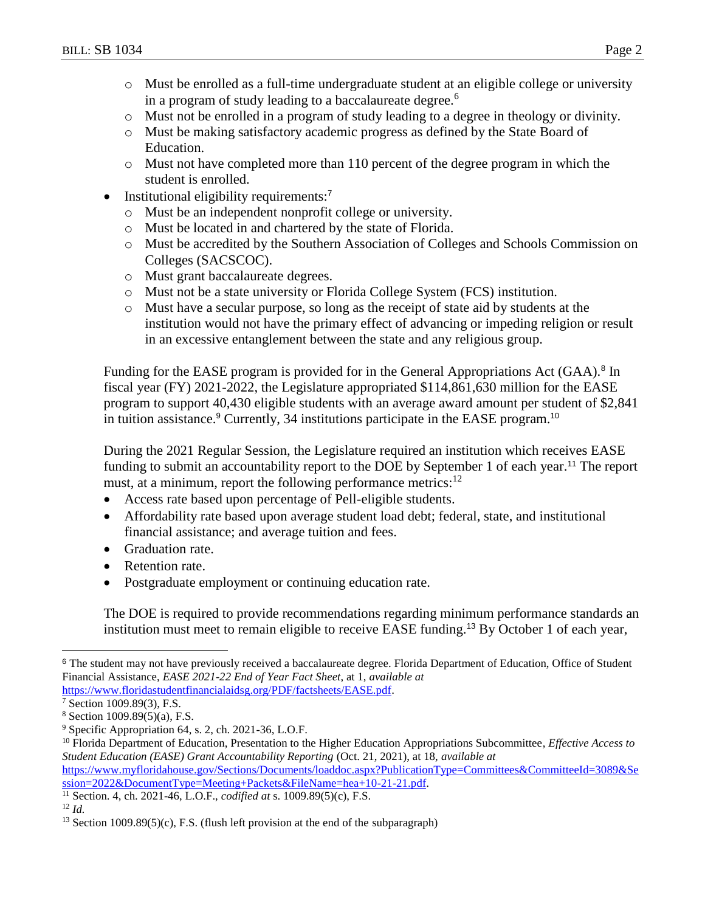- o Must be enrolled as a full-time undergraduate student at an eligible college or university in a program of study leading to a baccalaureate degree.<sup>6</sup>
- o Must not be enrolled in a program of study leading to a degree in theology or divinity.
- o Must be making satisfactory academic progress as defined by the State Board of Education.
- o Must not have completed more than 110 percent of the degree program in which the student is enrolled.
- Institutional eligibility requirements:<sup>7</sup>
	- o Must be an independent nonprofit college or university.
	- o Must be located in and chartered by the state of Florida.
	- o Must be accredited by the Southern Association of Colleges and Schools Commission on Colleges (SACSCOC).
	- o Must grant baccalaureate degrees.
	- o Must not be a state university or Florida College System (FCS) institution.
	- o Must have a secular purpose, so long as the receipt of state aid by students at the institution would not have the primary effect of advancing or impeding religion or result in an excessive entanglement between the state and any religious group.

Funding for the EASE program is provided for in the General Appropriations Act (GAA).<sup>8</sup> In fiscal year (FY) 2021-2022, the Legislature appropriated \$114,861,630 million for the EASE program to support 40,430 eligible students with an average award amount per student of \$2,841 in tuition assistance.<sup>9</sup> Currently, 34 institutions participate in the EASE program.<sup>10</sup>

During the 2021 Regular Session, the Legislature required an institution which receives EASE funding to submit an accountability report to the DOE by September 1 of each year.<sup>11</sup> The report must, at a minimum, report the following performance metrics: $12$ 

- Access rate based upon percentage of Pell-eligible students.
- Affordability rate based upon average student load debt; federal, state, and institutional financial assistance; and average tuition and fees.
- Graduation rate.
- Retention rate.
- Postgraduate employment or continuing education rate.

The DOE is required to provide recommendations regarding minimum performance standards an institution must meet to remain eligible to receive EASE funding.<sup>13</sup> By October 1 of each year,

<sup>&</sup>lt;sup>6</sup> The student may not have previously received a baccalaureate degree. Florida Department of Education, Office of Student Financial Assistance, *EASE 2021-22 End of Year Fact Sheet*, at 1, *available at* 

[https://www.floridastudentfinancialaidsg.org/PDF/factsheets/EASE.pdf.](https://www.floridastudentfinancialaidsg.org/PDF/factsheets/EASE.pdf)

Section 1009.89(3), F.S.

<sup>8</sup> Section 1009.89(5)(a), F.S.

<sup>9</sup> Specific Appropriation 64, s. 2, ch. 2021-36, L.O.F.

<sup>10</sup> Florida Department of Education, Presentation to the Higher Education Appropriations Subcommittee, *Effective Access to Student Education (EASE) Grant Accountability Reporting* (Oct. 21, 2021), at 18, *available at*

[https://www.myfloridahouse.gov/Sections/Documents/loaddoc.aspx?PublicationType=Committees&CommitteeId=3089&Se](https://www.myfloridahouse.gov/Sections/Documents/loaddoc.aspx?PublicationType=Committees&CommitteeId=3089&Session=2022&DocumentType=Meeting+Packets&FileName=hea+10-21-21.pdf) [ssion=2022&DocumentType=Meeting+Packets&FileName=hea+10-21-21.pdf.](https://www.myfloridahouse.gov/Sections/Documents/loaddoc.aspx?PublicationType=Committees&CommitteeId=3089&Session=2022&DocumentType=Meeting+Packets&FileName=hea+10-21-21.pdf)

<sup>11</sup> Section. 4, ch. 2021-46, L.O.F., *codified at* s. 1009.89(5)(c), F.S.

<sup>12</sup> *Id.*

<sup>&</sup>lt;sup>13</sup> Section 1009.89(5)(c), F.S. (flush left provision at the end of the subparagraph)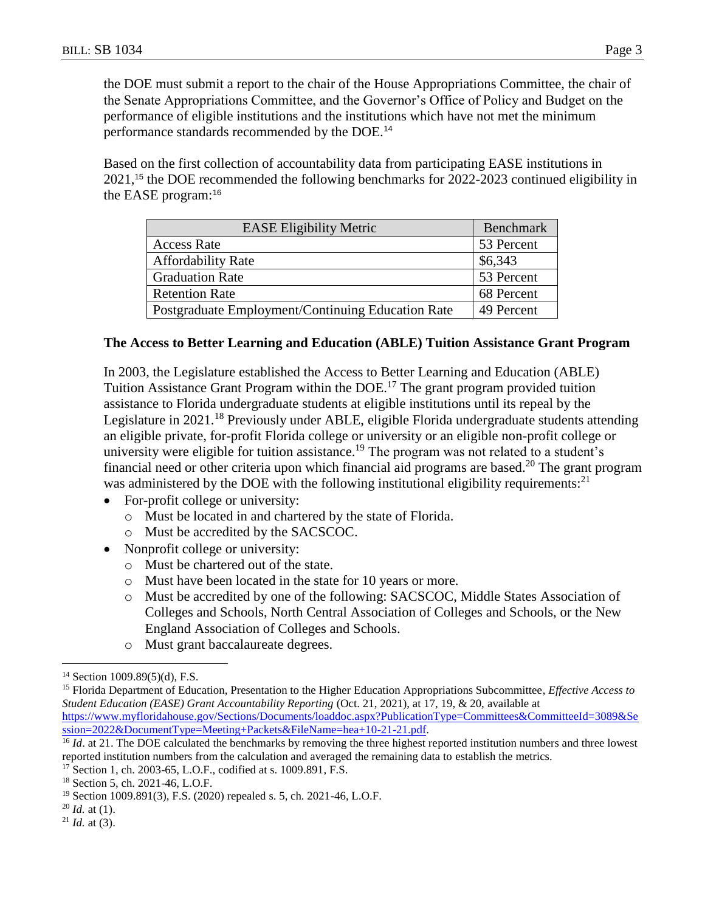the DOE must submit a report to the chair of the House Appropriations Committee, the chair of the Senate Appropriations Committee, and the Governor's Office of Policy and Budget on the performance of eligible institutions and the institutions which have not met the minimum performance standards recommended by the DOE.<sup>14</sup>

Based on the first collection of accountability data from participating EASE institutions in 2021,<sup>15</sup> the DOE recommended the following benchmarks for 2022-2023 continued eligibility in the EASE program:<sup>16</sup>

| <b>EASE Eligibility Metric</b>                    | Benchmark  |
|---------------------------------------------------|------------|
| <b>Access Rate</b>                                | 53 Percent |
| <b>Affordability Rate</b>                         | \$6,343    |
| <b>Graduation Rate</b>                            | 53 Percent |
| <b>Retention Rate</b>                             | 68 Percent |
| Postgraduate Employment/Continuing Education Rate | 49 Percent |

## **The Access to Better Learning and Education (ABLE) Tuition Assistance Grant Program**

In 2003, the Legislature established the Access to Better Learning and Education (ABLE) Tuition Assistance Grant Program within the DOE.<sup>17</sup> The grant program provided tuition assistance to Florida undergraduate students at eligible institutions until its repeal by the Legislature in 2021.<sup>18</sup> Previously under ABLE, eligible Florida undergraduate students attending an eligible private, for-profit Florida college or university or an eligible non-profit college or university were eligible for tuition assistance.<sup>19</sup> The program was not related to a student's financial need or other criteria upon which financial aid programs are based.<sup>20</sup> The grant program was administered by the DOE with the following institutional eligibility requirements:<sup>21</sup>

- For-profit college or university:
	- o Must be located in and chartered by the state of Florida.
	- o Must be accredited by the SACSCOC.
- Nonprofit college or university:
	- o Must be chartered out of the state.
	- o Must have been located in the state for 10 years or more.
	- o Must be accredited by one of the following: SACSCOC, Middle States Association of Colleges and Schools, North Central Association of Colleges and Schools, or the New England Association of Colleges and Schools.
	- o Must grant baccalaureate degrees.

 $14$  Section 1009.89(5)(d), F.S.

<sup>15</sup> Florida Department of Education, Presentation to the Higher Education Appropriations Subcommittee, *Effective Access to Student Education (EASE) Grant Accountability Reporting* (Oct. 21, 2021), at 17, 19, & 20, available at [https://www.myfloridahouse.gov/Sections/Documents/loaddoc.aspx?PublicationType=Committees&CommitteeId=3089&Se](https://www.myfloridahouse.gov/Sections/Documents/loaddoc.aspx?PublicationType=Committees&CommitteeId=3089&Session=2022&DocumentType=Meeting+Packets&FileName=hea+10-21-21.pdf) [ssion=2022&DocumentType=Meeting+Packets&FileName=hea+10-21-21.pdf.](https://www.myfloridahouse.gov/Sections/Documents/loaddoc.aspx?PublicationType=Committees&CommitteeId=3089&Session=2022&DocumentType=Meeting+Packets&FileName=hea+10-21-21.pdf)

<sup>&</sup>lt;sup>16</sup> *Id.* at 21. The DOE calculated the benchmarks by removing the three highest reported institution numbers and three lowest reported institution numbers from the calculation and averaged the remaining data to establish the metrics.

<sup>17</sup> Section 1, ch. 2003-65, L.O.F., codified at s. 1009.891, F.S.

<sup>18</sup> Section 5, ch. 2021-46, L.O.F.

<sup>19</sup> Section 1009.891(3), F.S. (2020) repealed s. 5, ch. 2021-46, L.O.F.

<sup>20</sup> *Id.* at (1).

 $21$  *Id.* at (3).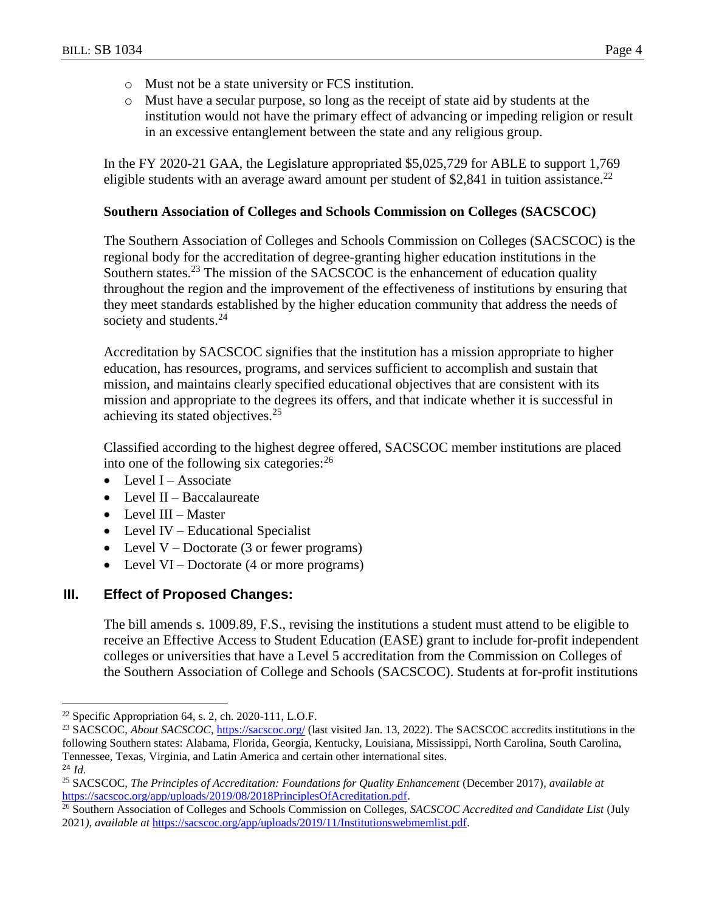- o Must not be a state university or FCS institution.
- o Must have a secular purpose, so long as the receipt of state aid by students at the institution would not have the primary effect of advancing or impeding religion or result in an excessive entanglement between the state and any religious group.

In the FY 2020-21 GAA, the Legislature appropriated \$5,025,729 for ABLE to support 1,769 eligible students with an average award amount per student of \$2,841 in tuition assistance.<sup>22</sup>

## **Southern Association of Colleges and Schools Commission on Colleges (SACSCOC)**

The Southern Association of Colleges and Schools Commission on Colleges (SACSCOC) is the regional body for the accreditation of degree-granting higher education institutions in the Southern states.<sup>23</sup> The mission of the SACSCOC is the enhancement of education quality throughout the region and the improvement of the effectiveness of institutions by ensuring that they meet standards established by the higher education community that address the needs of society and students.<sup>24</sup>

Accreditation by SACSCOC signifies that the institution has a mission appropriate to higher education, has resources, programs, and services sufficient to accomplish and sustain that mission, and maintains clearly specified educational objectives that are consistent with its mission and appropriate to the degrees its offers, and that indicate whether it is successful in achieving its stated objectives.<sup>25</sup>

Classified according to the highest degree offered, SACSCOC member institutions are placed into one of the following six categories:<sup>26</sup>

- $\bullet$  Level I Associate
- $\bullet$  Level II Baccalaureate
- Level III Master
- Level IV Educational Specialist
- Level  $V$  Doctorate (3 or fewer programs)
- Level  $VI Doctorate (4 or more programs)$

## **III. Effect of Proposed Changes:**

The bill amends s. 1009.89, F.S., revising the institutions a student must attend to be eligible to receive an Effective Access to Student Education (EASE) grant to include for-profit independent colleges or universities that have a Level 5 accreditation from the Commission on Colleges of the Southern Association of College and Schools (SACSCOC). Students at for-profit institutions

 $22$  Specific Appropriation 64, s. 2, ch. 2020-111, L.O.F.

<sup>&</sup>lt;sup>23</sup> SACSCOC, *About SACSCOC*,<https://sacscoc.org/> (last visited Jan. 13, 2022). The SACSCOC accredits institutions in the following Southern states: Alabama, Florida, Georgia, Kentucky, Louisiana, Mississippi, North Carolina, South Carolina, Tennessee, Texas, Virginia, and Latin America and certain other international sites. <sup>24</sup> *Id.*

<sup>25</sup> SACSCOC, *The Principles of Accreditation: Foundations for Quality Enhancement* (December 2017)*, available at* [https://sacscoc.org/app/uploads/2019/08/2018PrinciplesOfAcreditation.pdf.](https://sacscoc.org/app/uploads/2019/08/2018PrinciplesOfAcreditation.pdf)

<sup>26</sup> Southern Association of Colleges and Schools Commission on Colleges, *SACSCOC Accredited and Candidate List* (July 2021*), available at* [https://sacscoc.org/app/uploads/2019/11/Institutionswebmemlist.pdf.](https://sacscoc.org/app/uploads/2019/11/Institutionswebmemlist.pdf)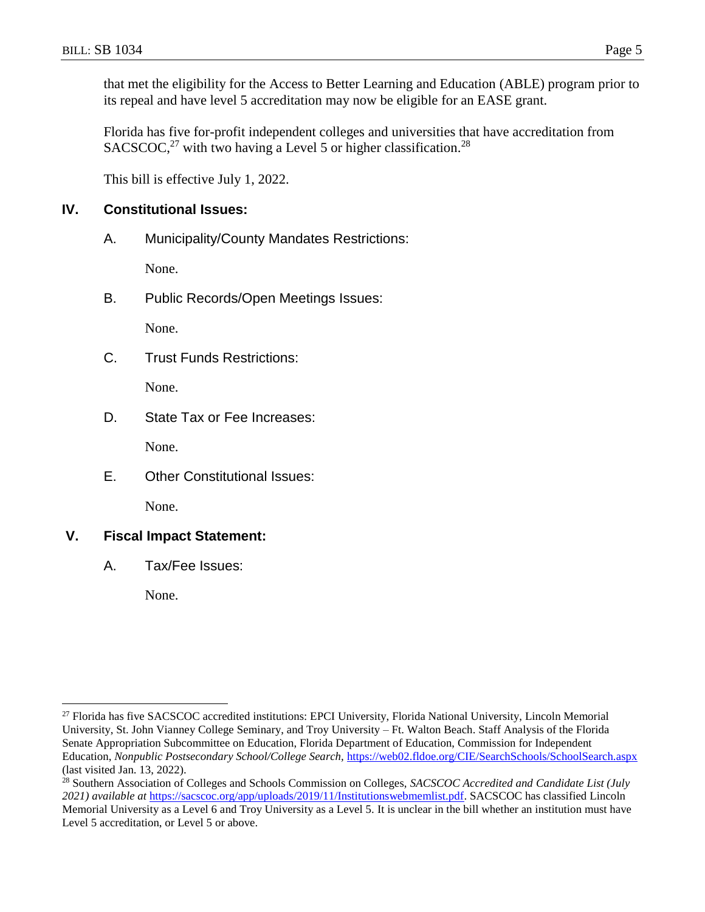Florida has five for-profit independent colleges and universities that have accreditation from

its repeal and have level 5 accreditation may now be eligible for an EASE grant.

 $SACSCOC<sup>27</sup>$  with two having a Level 5 or higher classification.<sup>28</sup>

This bill is effective July 1, 2022.

# **IV. Constitutional Issues:**

A. Municipality/County Mandates Restrictions:

None.

B. Public Records/Open Meetings Issues:

None.

C. Trust Funds Restrictions:

None.

D. State Tax or Fee Increases:

None.

E. Other Constitutional Issues:

None.

# **V. Fiscal Impact Statement:**

A. Tax/Fee Issues:

None.

<sup>&</sup>lt;sup>27</sup> Florida has five SACSCOC accredited institutions: EPCI University, Florida National University, Lincoln Memorial University, St. John Vianney College Seminary, and Troy University – Ft. Walton Beach. Staff Analysis of the Florida Senate Appropriation Subcommittee on Education, Florida Department of Education, Commission for Independent Education, *Nonpublic Postsecondary School/College Search,* <https://web02.fldoe.org/CIE/SearchSchools/SchoolSearch.aspx> (last visited Jan. 13, 2022).

<sup>28</sup> Southern Association of Colleges and Schools Commission on Colleges, *SACSCOC Accredited and Candidate List (July 2021) available at* [https://sacscoc.org/app/uploads/2019/11/Institutionswebmemlist.pdf.](https://sacscoc.org/app/uploads/2019/11/Institutionswebmemlist.pdf) SACSCOC has classified Lincoln Memorial University as a Level 6 and Troy University as a Level 5. It is unclear in the bill whether an institution must have Level 5 accreditation, or Level 5 or above.